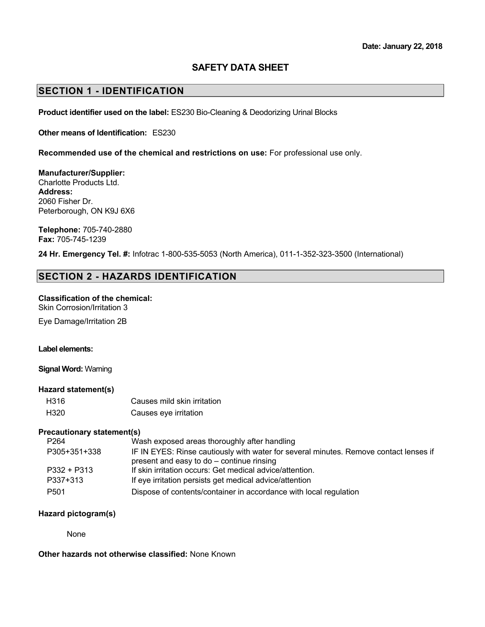### **SAFETY DATA SHEET**

### **SECTION 1 - IDENTIFICATION**

**Product identifier used on the label:** ES230 Bio-Cleaning & Deodorizing Urinal Blocks

**Other means of Identification:** ES230

**Recommended use of the chemical and restrictions on use:** For professional use only.

**Manufacturer/Supplier:** Charlotte Products Ltd. **Address:** 2060 Fisher Dr.

**Telephone:** 705-740-2880 **Fax:** 705-745-1239

Peterborough, ON K9J 6X6

**24 Hr. Emergency Tel. #:** Infotrac 1-800-535-5053 (North America), 011-1-352-323-3500 (International)

### **SECTION 2 - HAZARDS IDENTIFICATION**

#### **Classification of the chemical:** Skin Corrosion/Irritation 3

Eye Damage/Irritation 2B

#### **Label elements:**

**Signal Word:** Warning

#### **Hazard statement(s)**

| H316 | Causes mild skin irritation |
|------|-----------------------------|
| H320 | Causes eye irritation       |

#### **Precautionary statement(s)**

| P <sub>264</sub> | Wash exposed areas thoroughly after handling                                          |
|------------------|---------------------------------------------------------------------------------------|
| P305+351+338     | IF IN EYES: Rinse cautiously with water for several minutes. Remove contact lenses if |
|                  | present and easy to do - continue rinsing                                             |
| P332 + P313      | If skin irritation occurs: Get medical advice/attention.                              |
| P337+313         | If eye irritation persists get medical advice/attention                               |
| P <sub>501</sub> | Dispose of contents/container in accordance with local regulation                     |

### **Hazard pictogram(s)**

None

**Other hazards not otherwise classified:** None Known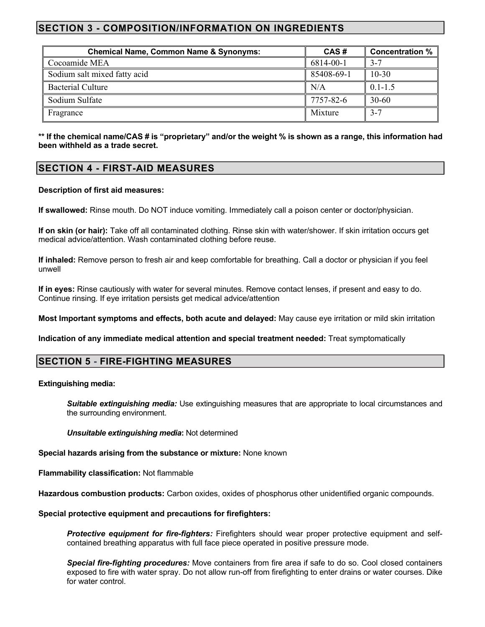# **SECTION 3 - COMPOSITION/INFORMATION ON INGREDIENTS**

| <b>Chemical Name, Common Name &amp; Synonyms:</b> | CAS#       | <b>Concentration %</b> |
|---------------------------------------------------|------------|------------------------|
| Cocoamide MEA                                     | 6814-00-1  |                        |
| Sodium salt mixed fatty acid                      | 85408-69-1 | $10 - 30$              |
| <b>Bacterial Culture</b>                          | N/A        | $0.1 - 1.5$            |
| Sodium Sulfate                                    | 7757-82-6  | $30-60$                |
| Fragrance                                         | Mixture    | $3-7$                  |

**\*\* If the chemical name/CAS # is "proprietary" and/or the weight % is shown as a range, this information had been withheld as a trade secret.**

## **SECTION 4 - FIRST-AID MEASURES**

### **Description of first aid measures:**

**If swallowed:** Rinse mouth. Do NOT induce vomiting. Immediately call a poison center or doctor/physician.

**If on skin (or hair):** Take off all contaminated clothing. Rinse skin with water/shower. If skin irritation occurs get medical advice/attention. Wash contaminated clothing before reuse.

**If inhaled:** Remove person to fresh air and keep comfortable for breathing. Call a doctor or physician if you feel unwell

**If in eyes:** Rinse cautiously with water for several minutes. Remove contact lenses, if present and easy to do. Continue rinsing. If eye irritation persists get medical advice/attention

**Most Important symptoms and effects, both acute and delayed:** May cause eye irritation or mild skin irritation

**Indication of any immediate medical attention and special treatment needed:** Treat symptomatically

## **SECTION 5 - FIRE-FIGHTING MEASURES**

#### **Extinguishing media:**

*Suitable extinguishing media:* Use extinguishing measures that are appropriate to local circumstances and the surrounding environment.

*Unsuitable extinguishing media***:** Not determined

**Special hazards arising from the substance or mixture:** None known

**Flammability classification:** Not flammable

**Hazardous combustion products:** Carbon oxides, oxides of phosphorus other unidentified organic compounds.

#### **Special protective equipment and precautions for firefighters:**

**Protective equipment for fire-fighters:** Firefighters should wear proper protective equipment and selfcontained breathing apparatus with full face piece operated in positive pressure mode.

*Special fire-fighting procedures:* Move containers from fire area if safe to do so. Cool closed containers exposed to fire with water spray. Do not allow run-off from firefighting to enter drains or water courses. Dike for water control.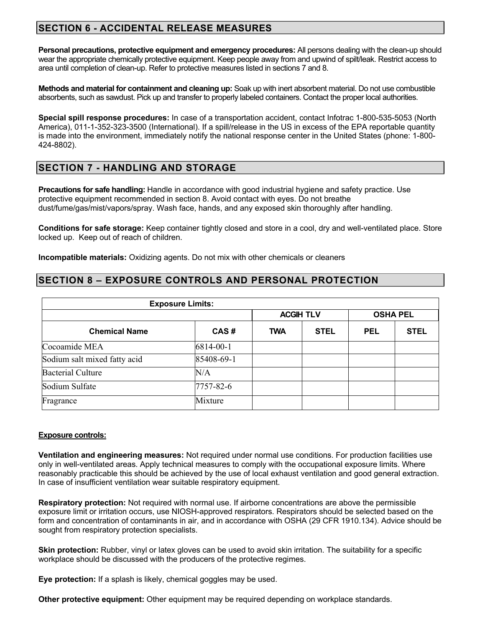# **SECTION 6 - ACCIDENTAL RELEASE MEASURES**

**Personal precautions, protective equipment and emergency procedures:** All persons dealing with the clean-up should wear the appropriate chemically protective equipment. Keep people away from and upwind of spilt/leak. Restrict access to area until completion of clean-up. Refer to protective measures listed in sections 7 and 8.

**Methods and material for containment and cleaning up:** Soak up with inert absorbent material. Do not use combustible absorbents, such as sawdust. Pick up and transfer to properly labeled containers. Contact the proper local authorities.

**Special spill response procedures:** In case of a transportation accident, contact Infotrac 1-800-535-5053 (North America), 011-1-352-323-3500 (International). If a spill/release in the US in excess of the EPA reportable quantity is made into the environment, immediately notify the national response center in the United States (phone: 1-800- 424-8802).

# **SECTION 7 - HANDLING AND STORAGE**

**Precautions for safe handling:** Handle in accordance with good industrial hygiene and safety practice. Use protective equipment recommended in section 8. Avoid contact with eyes. Do not breathe dust/fume/gas/mist/vapors/spray. Wash face, hands, and any exposed skin thoroughly after handling.

**Conditions for safe storage:** Keep container tightly closed and store in a cool, dry and well-ventilated place. Store locked up. Keep out of reach of children.

**Incompatible materials:** Oxidizing agents. Do not mix with other chemicals or cleaners

## **SECTION 8 – EXPOSURE CONTROLS AND PERSONAL PROTECTION**

| <b>Exposure Limits:</b>      |            |                  |             |                 |             |
|------------------------------|------------|------------------|-------------|-----------------|-------------|
|                              |            | <b>ACGIH TLV</b> |             | <b>OSHA PEL</b> |             |
| <b>Chemical Name</b>         | CAS#       | <b>TWA</b>       | <b>STEL</b> | <b>PEL</b>      | <b>STEL</b> |
| Cocoamide MEA                | 6814-00-1  |                  |             |                 |             |
| Sodium salt mixed fatty acid | 85408-69-1 |                  |             |                 |             |
| <b>Bacterial Culture</b>     | N/A        |                  |             |                 |             |
| Sodium Sulfate               | 7757-82-6  |                  |             |                 |             |
| Fragrance                    | Mixture    |                  |             |                 |             |

### **Exposure controls:**

**Ventilation and engineering measures:** Not required under normal use conditions. For production facilities use only in well-ventilated areas. Apply technical measures to comply with the occupational exposure limits. Where reasonably practicable this should be achieved by the use of local exhaust ventilation and good general extraction. In case of insufficient ventilation wear suitable respiratory equipment.

**Respiratory protection:** Not required with normal use. If airborne concentrations are above the permissible exposure limit or irritation occurs, use NIOSH-approved respirators. Respirators should be selected based on the form and concentration of contaminants in air, and in accordance with OSHA (29 CFR 1910.134). Advice should be sought from respiratory protection specialists.

**Skin protection:** Rubber, vinyl or latex gloves can be used to avoid skin irritation. The suitability for a specific workplace should be discussed with the producers of the protective regimes.

**Eye protection:** If a splash is likely, chemical goggles may be used.

**Other protective equipment:** Other equipment may be required depending on workplace standards.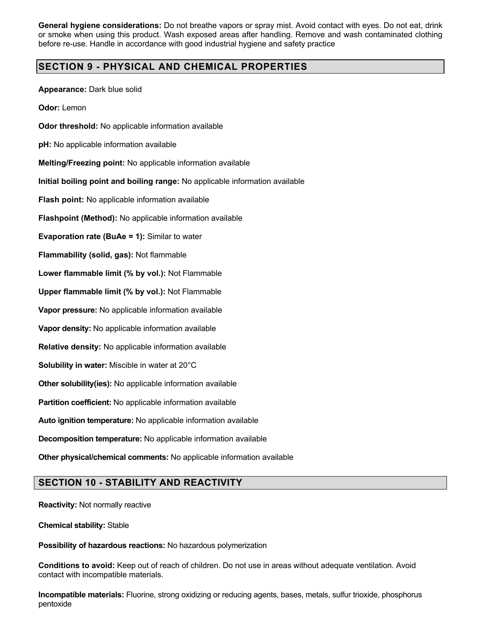**General hygiene considerations:** Do not breathe vapors or spray mist. Avoid contact with eyes. Do not eat, drink or smoke when using this product. Wash exposed areas after handling. Remove and wash contaminated clothing before re-use. Handle in accordance with good industrial hygiene and safety practice

# **SECTION 9 - PHYSICAL AND CHEMICAL PROPERTIES**

**Appearance:** Dark blue solid

**Odor:** Lemon

**Odor threshold:** No applicable information available

**pH:** No applicable information available

**Melting/Freezing point:** No applicable information available

**Initial boiling point and boiling range:** No applicable information available

**Flash point:** No applicable information available

**Flashpoint (Method):** No applicable information available

**Evaporation rate (BuAe = 1):** Similar to water

**Flammability (solid, gas):** Not flammable

**Lower flammable limit (% by vol.):** Not Flammable

**Upper flammable limit (% by vol.):** Not Flammable

**Vapor pressure:** No applicable information available

**Vapor density:** No applicable information available

**Relative density:** No applicable information available

**Solubility in water:** Miscible in water at 20°C

**Other solubility(ies):** No applicable information available

**Partition coefficient:** No applicable information available

**Auto ignition temperature:** No applicable information available

**Decomposition temperature:** No applicable information available

**Other physical/chemical comments:** No applicable information available

## **SECTION 10 - STABILITY AND REACTIVITY**

**Reactivity:** Not normally reactive

**Chemical stability:** Stable

**Possibility of hazardous reactions:** No hazardous polymerization

**Conditions to avoid:** Keep out of reach of children. Do not use in areas without adequate ventilation. Avoid contact with incompatible materials.

**Incompatible materials:** Fluorine, strong oxidizing or reducing agents, bases, metals, sulfur trioxide, phosphorus pentoxide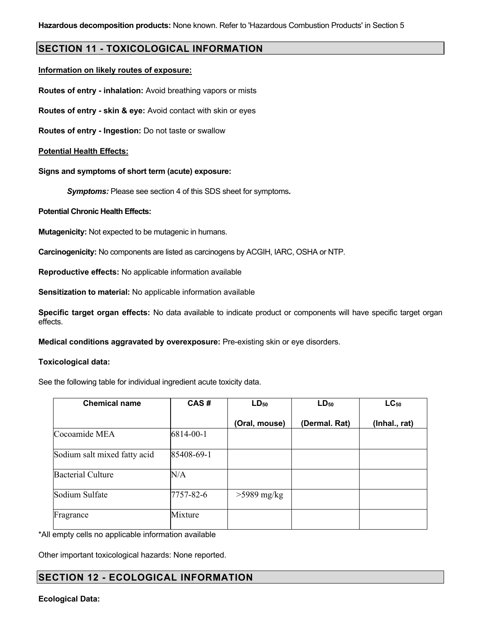### **SECTION 11 - TOXICOLOGICAL INFORMATION**

### **Information on likely routes of exposure:**

**Routes of entry - inhalation:** Avoid breathing vapors or mists

**Routes of entry - skin & eye:** Avoid contact with skin or eyes

**Routes of entry - Ingestion:** Do not taste or swallow

### **Potential Health Effects:**

**Signs and symptoms of short term (acute) exposure:**

*Symptoms:* Please see section 4 of this SDS sheet for symptoms*.*

### **Potential Chronic Health Effects:**

**Mutagenicity:** Not expected to be mutagenic in humans.

**Carcinogenicity:** No components are listed as carcinogens by ACGIH, IARC, OSHA or NTP.

**Reproductive effects:** No applicable information available

**Sensitization to material:** No applicable information available

**Specific target organ effects:** No data available to indicate product or components will have specific target organ effects.

**Medical conditions aggravated by overexposure:** Pre-existing skin or eye disorders.

#### Toxic **Toxicological data:**

See the following table for individual ingredient acute toxicity data.

| <b>Chemical name</b>         | CAS#       | $LD_{50}$     | $LD_{50}$     | $LC_{50}$     |  |
|------------------------------|------------|---------------|---------------|---------------|--|
|                              |            | (Oral, mouse) | (Dermal. Rat) | (Inhal., rat) |  |
| Cocoamide MEA                | 6814-00-1  |               |               |               |  |
| Sodium salt mixed fatty acid | 85408-69-1 |               |               |               |  |
| <b>Bacterial Culture</b>     | N/A        |               |               |               |  |
| Sodium Sulfate               | 7757-82-6  | $>5989$ mg/kg |               |               |  |
| Fragrance                    | Mixture    |               |               |               |  |

\*All empty cells no applicable information available

Other important toxicological hazards: None reported.

## **SECTION 12 - ECOLOGICAL INFORMATION**

### **Ecological Data:**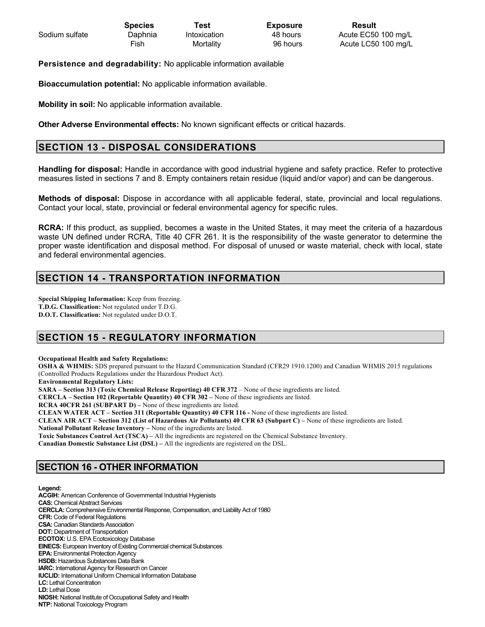|                | <b>Species</b> | Test         | <b>Exposure</b> | Result              |
|----------------|----------------|--------------|-----------------|---------------------|
| Sodium sulfate | Daphnia        | Intoxication | 48 hours        | Acute EC50 100 mg/L |
|                | Fish           | Mortality    | 96 hours        | Acute LC50 100 mg/L |

**Persistence and degradability:** No applicable information available

**Bioaccumulation potential:** No applicable information available.

**Mobility in soil:** No applicable information available.

**Other Adverse Environmental effects:** No known significant effects or critical hazards.

## **SECTION 13 - DISPOSAL CONSIDERATIONS**

**Handling for disposal:** Handle in accordance with good industrial hygiene and safety practice. Refer to protective measures listed in sections 7 and 8. Empty containers retain residue (liquid and/or vapor) and can be dangerous.

**Methods of disposal:** Dispose in accordance with all applicable federal, state, provincial and local regulations. Contact your local, state, provincial or federal environmental agency for specific rules.

**RCRA:** If this product, as supplied, becomes a waste in the United States, it may meet the criteria of a hazardous waste UN defined under RCRA, Title 40 CFR 261. It is the responsibility of the waste generator to determine the proper waste identification and disposal method. For disposal of unused or waste material, check with local, state and federal environmental agencies.

# **SECTION 14 - TRANSPORTATION INFORMATION**

**Special Shipping Information:** Keep from freezing. **T.D.G. Classification:** Not regulated under T.D.G. **D.O.T. Classification:** Not regulated under D.O.T.

# **SECTION 15 - REGULATORY INFORMATION**

**Occupational Health and Safety Regulations:**

**OSHA & WHMIS:** SDS prepared pursuant to the Hazard Communication Standard (CFR29 1910.1200) and Canadian WHMIS 2015 regulations (Controlled Products Regulations under the Hazardous Product Act).

**Environmental Regulatory Lists:**

**SARA – Section 313 (Toxic Chemical Release Reporting) 40 CFR 372** – None of these ingredients are listed.

**CERCLA – Section 102 (Reportable Quantity) 40 CFR 302 –** None of these ingredients are listed.

**RCRA 40CFR 261 (SUBPART D) –** None of these ingredients are listed.

**CLEAN WATER ACT – Section 311 (Reportable Quantity) 40 CFR 116 -** None of these ingredients are listed.

**CLEAN AIR ACT – Section 312 (List of Hazardous Air Pollutants) 40 CFR 63 (Subpart C) –** None of these ingredients are listed. **National Pollutant Release Inventory –** None of the ingredients are listed.

**Toxic Substances Control Act (TSCA) –** All the ingredients are registered on the Chemical Substance Inventory.

**Canadian Domestic Substance List (DSL) –** All the ingredients are registered on the DSL.

## **SECTION 16 - OTHER INFORMATION**

**Legend:** 

**ACGIH:** American Conference of Governmental Industrial Hygienists **CAS:** Chemical Abstract Services **CERCLA:** Comprehensive Environmental Response, Compensation, and Liability Act of 1980 **CFR:** Code of Federal Regulations **CSA:** Canadian Standards Association **DOT:** Department of Transportation **ECOTOX:** U.S. EPA Ecotoxicology Database **EINECS:**European Inventory of Existing Commercial chemical Substances **EPA:** Environmental Protection Agency **HSDB:** Hazardous Substances Data Bank **IARC:** International Agency for Research on Cancer **IUCLID:** International Uniform Chemical Information Database **LC:** Lethal Concentration **LD:** Lethal Dose **NIOSH:** National Institute of Occupational Safety and Health **NTP:** National Toxicology Program